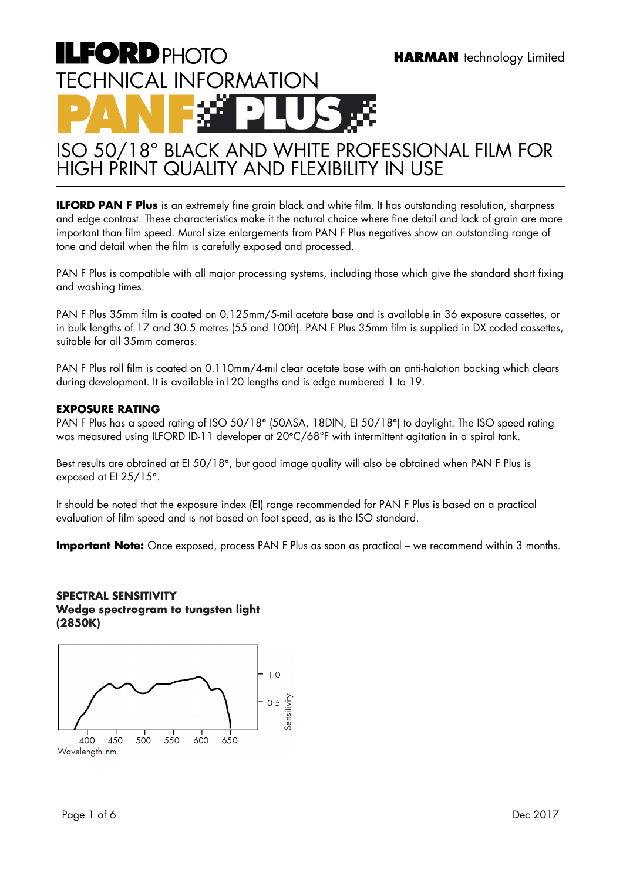# **ILFORD PHOTO** TECHNICAL INFORMATION

# ISO 50/18° BLACK AND WHITE PROFESSIONAL FILM FOR HIGH PRINT QUALITY AND FLEXIBILITY IN USE

**ILFORD PAN F Plus** is an extremely fine grain black and white film. It has outstanding resolution, sharpness and edge contrast. These characteristics make it the natural choice where fine detail and lack of grain are more important than film speed. Mural size enlargements from PAN F Plus negatives show an outstanding range of tone and detail when the film is carefully exposed and processed.

PAN F Plus is compatible with all major processing systems, including those which give the standard short fixing and washing times.

PAN F Plus 35mm film is coated on 0.125mm/5-mil acetate base and is available in 36 exposure cassettes, or in bulk lengths of 17 and 30.5 metres (55 and 100ft). PAN F Plus 35mm film is supplied in DX coded cassettes, suitable for all 35mm cameras.

PAN F Plus roll film is coated on 0.110mm/4-mil clear acetate base with an anti-halation backing which clears during development. It is available in120 lengths and is edge numbered 1 to 19.

# **EXPOSURE RATING**

PAN F Plus has a speed rating of ISO 50/18**°** (50ASA, 18DIN, EI 50/18**°**) to daylight. The ISO speed rating was measured using ILFORD ID-11 developer at 20**°**C/68°F with intermittent agitation in a spiral tank.

Best results are obtained at EI 50/18**°**, but good image quality will also be obtained when PAN F Plus is exposed at EI 25/15**°**.

It should be noted that the exposure index (EI) range recommended for PAN F Plus is based on a practical evaluation of film speed and is not based on foot speed, as is the ISO standard.

**Important Note:** Once exposed, process PAN F Plus as soon as practical – we recommend within 3 months.

# **SPECTRAL SENSITIVITY Wedge spectrogram to tungsten light (2850K)**

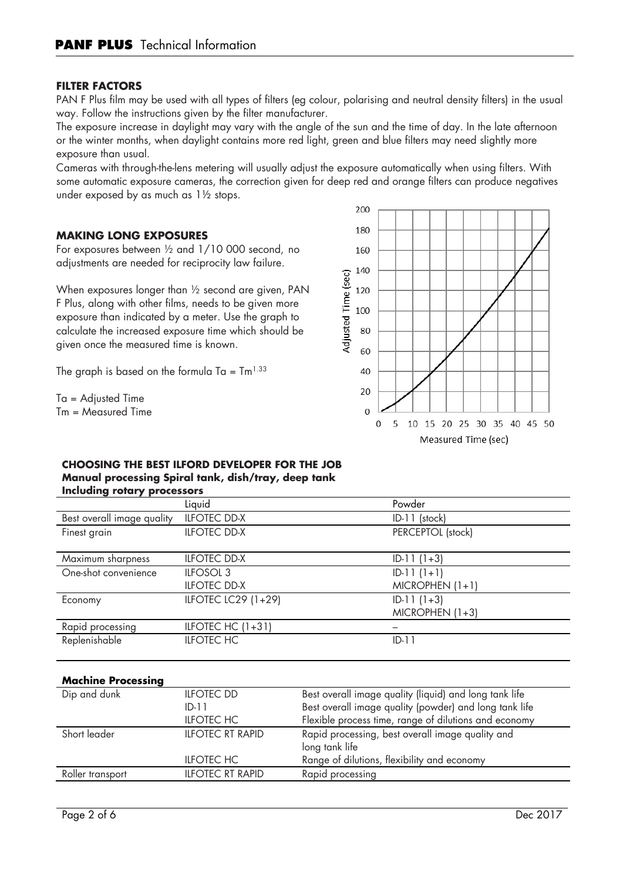## **FILTER FACTORS**

PAN F Plus film may be used with all types of filters (eg colour, polarising and neutral density filters) in the usual way. Follow the instructions given by the filter manufacturer.

The exposure increase in daylight may vary with the angle of the sun and the time of day. In the late afternoon or the winter months, when daylight contains more red light, green and blue filters may need slightly more exposure than usual.

Cameras with through-the-lens metering will usually adjust the exposure automatically when using filters. With some automatic exposure cameras, the correction given for deep red and orange filters can produce negatives under exposed by as much as 1½ stops.

#### **MAKING LONG EXPOSURES**

For exposures between ½ and 1/10 000 second, no adjustments are needed for reciprocity law failure.

When exposures longer than ½ second are given, PAN F Plus, along with other films, needs to be given more exposure than indicated by a meter. Use the graph to calculate the increased exposure time which should be given once the measured time is known.

The graph is based on the formula Ta =  $\text{Im}^{1.33}$ 

Ta = Adjusted Time Tm = Measured Time



#### **CHOOSING THE BEST ILFORD DEVELOPER FOR THE JOB Manual processing Spiral tank, dish/tray, deep tank Including rotary processors**

| melouing rolary processors |                      |                   |
|----------------------------|----------------------|-------------------|
|                            | Liquid               | Powder            |
| Best overall image quality | <b>ILFOTEC DD-X</b>  | $ID-11$ (stock)   |
| Finest grain               | <b>ILFOTEC DD-X</b>  | PERCEPTOL (stock) |
|                            |                      |                   |
| Maximum sharpness          | <b>ILFOTEC DD-X</b>  | $ID-11(1+3)$      |
| One-shot convenience       | ILFOSOL <sub>3</sub> | $ID-11(1+1)$      |
|                            | <b>ILFOTEC DD-X</b>  | $MICROPHEN (1+1)$ |
| Economy                    | ILFOTEC LC29 (1+29)  | $ID-11(1+3)$      |
|                            |                      | $MICROPHEN (1+3)$ |
| Rapid processing           | ILFOTEC HC $(1+31)$  |                   |
| Replenishable              | <b>ILFOTEC HC</b>    | $ID-11$           |
|                            |                      |                   |

#### **Machine Processing**

| Dip and dunk     | <b>ILFOTEC DD</b>       | Best overall image quality (liquid) and long tank life |
|------------------|-------------------------|--------------------------------------------------------|
|                  | $ID-11$                 | Best overall image quality (powder) and long tank life |
|                  | <b>ILFOTEC HC</b>       | Flexible process time, range of dilutions and economy  |
| Short leader     | <b>ILFOTEC RT RAPID</b> | Rapid processing, best overall image quality and       |
|                  |                         | long tank life                                         |
|                  | <b>ILFOTEC HC</b>       | Range of dilutions, flexibility and economy            |
| Roller transport | <b>ILFOTEC RT RAPID</b> | Rapid processing                                       |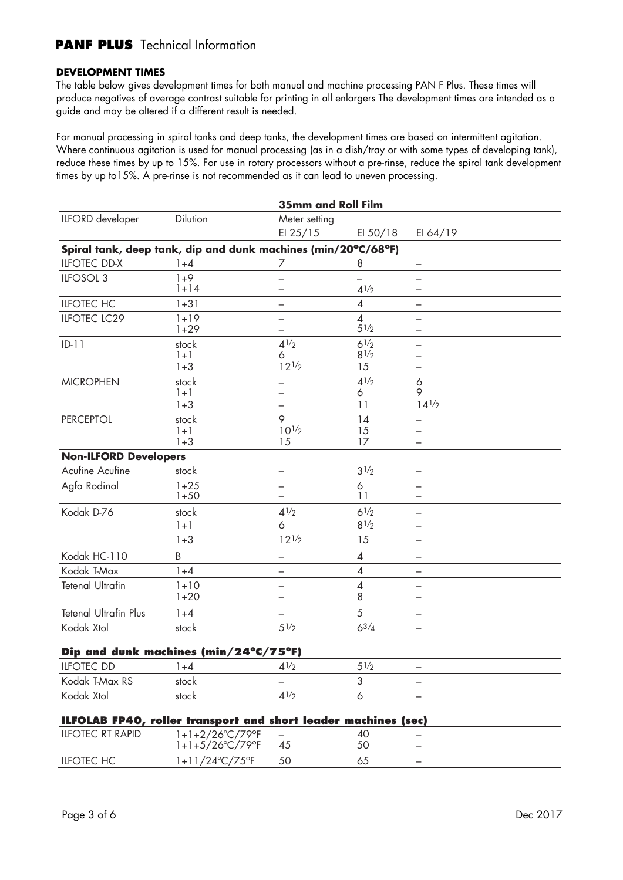# **DEVELOPMENT TIMES**

The table below gives development times for both manual and machine processing PAN F Plus. These times will produce negatives of average contrast suitable for printing in all enlargers The development times are intended as a guide and may be altered if a different result is needed.

For manual processing in spiral tanks and deep tanks, the development times are based on intermittent agitation. Where continuous agitation is used for manual processing (as in a dish/tray or with some types of developing tank), reduce these times by up to 15%. For use in rotary processors without a pre-rinse, reduce the spiral tank development times by up to15%. A pre-rinse is not recommended as it can lead to uneven processing.

|                              |                                                                | <b>35mm and Roll Film</b> |                        |                          |
|------------------------------|----------------------------------------------------------------|---------------------------|------------------------|--------------------------|
| ILFORD developer             | Dilution                                                       | Meter setting             |                        |                          |
|                              |                                                                | EI $25/15$                | EI $50/18$             | EI 64/19                 |
|                              | Spiral tank, deep tank, dip and dunk machines (min/20°C/68°F)  |                           |                        |                          |
| <b>ILFOTEC DD-X</b>          | $1 + 4$                                                        | 7                         | 8                      | -                        |
| ILFOSOL 3                    | $1 + 9$                                                        | $\overline{\phantom{0}}$  |                        |                          |
|                              | $1 + 14$                                                       |                           | $4^{1/2}$              |                          |
| <b>ILFOTEC HC</b>            | $1 + 31$                                                       |                           | $\overline{4}$         | $\qquad \qquad -$        |
| <b>ILFOTEC LC29</b>          | $1 + 19$<br>$1+29$                                             | <u>—</u><br>$\equiv$      | $\overline{4}$<br>51/2 |                          |
| $ID-11$                      | stock                                                          | $4^{1/2}$                 | $6^{1/2}$              |                          |
|                              | $1 + 1$                                                        | 6                         | 81/2                   |                          |
|                              | $1 + 3$                                                        | $12^{1/2}$                | 15                     |                          |
| <b>MICROPHEN</b>             | stock<br>$1 + 1$                                               |                           | $4^{1/2}$<br>6         | 6<br>9                   |
|                              | $1 + 3$                                                        |                           | 11                     | $14^{1/2}$               |
| <b>PERCEPTOL</b>             | stock                                                          | 9                         | 14                     |                          |
|                              | $1 + 1$                                                        | $10^{1/2}$                | 15                     |                          |
|                              | $1 + 3$                                                        | 15                        | 17                     |                          |
| <b>Non-ILFORD Developers</b> |                                                                |                           |                        |                          |
| Acufine Acufine              | stock                                                          | $\overline{\phantom{0}}$  | 31/2                   | $\qquad \qquad -$        |
| Agfa Rodinal                 | $1+25$<br>$1 + 50$                                             |                           | 6<br>11                |                          |
| Kodak D-76                   | stock                                                          | $4^{1/2}$                 | $6^{1/2}$              |                          |
|                              | $1 + 1$                                                        | 6                         | 81/2                   |                          |
|                              | $1 + 3$                                                        | $12^{1/2}$                | 15                     |                          |
| Kodak HC-110                 | B                                                              |                           | 4                      |                          |
| Kodak T-Max                  | $1 + 4$                                                        | -                         | $\overline{4}$         | -                        |
| <b>Tetenal Ultrafin</b>      | $1 + 10$                                                       | —                         | 4                      | $\overline{\phantom{0}}$ |
|                              | $1+20$                                                         | $\overline{\phantom{0}}$  | 8                      | $\overline{\phantom{0}}$ |
| <b>Tetenal Ultrafin Plus</b> | $1 + 4$                                                        |                           | 5                      | $\overline{\phantom{0}}$ |
| Kodak Xtol                   | stock                                                          | $5\frac{1}{2}$            | $6^{3}/_{4}$           | -                        |
|                              | Dip and dunk machines (min/24°C/75°F)                          |                           |                        |                          |
| <b>ILFOTEC DD</b>            | 1+4                                                            | $4^{1/2}$                 | $5\frac{1}{2}$         | $\overline{\phantom{m}}$ |
| Kodak T-Max RS               | stock                                                          |                           | 3                      |                          |
| Kodak Xtol                   | stock                                                          | $4^{1/2}$                 | 6                      |                          |
|                              | ILFOLAB FP40, roller transport and short leader machines (sec) |                           |                        |                          |
| <b>ILFOTEC RT RAPID</b>      | 1+1+2/26°C/79°F                                                |                           | 40                     |                          |
|                              | 1+1+5/26°C/79°F                                                | 45                        | 50                     |                          |
| <b>ILFOTEC HC</b>            | 1+11/24°C/75°F                                                 | 50                        | 65                     |                          |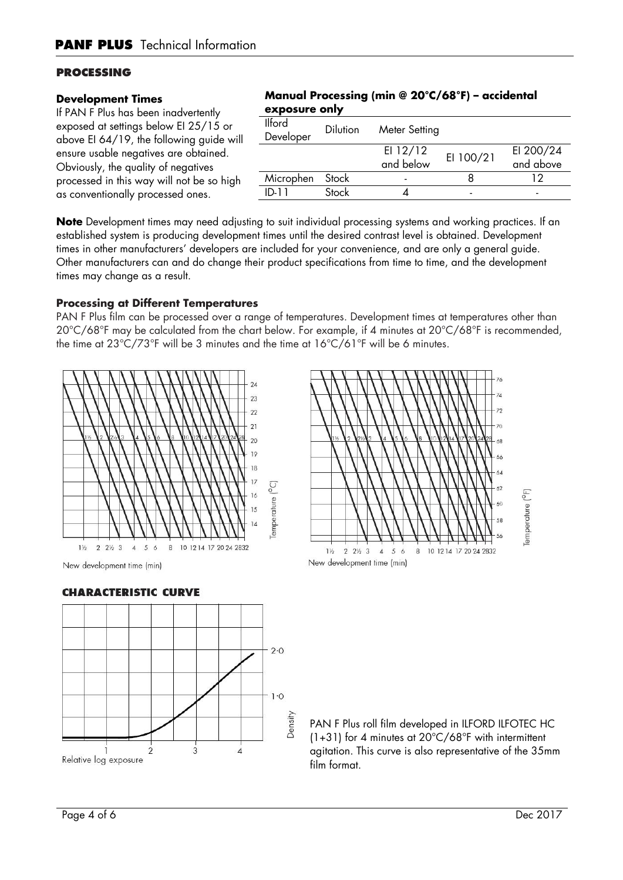# **PROCESSING**

#### **Development Times**

If PAN F Plus has been inadvertently exposed at settings below EI 25/15 or above EI 64/19, the following guide will ensure usable negatives are obtained. Obviously, the quality of negatives processed in this way will not be so high as conventionally processed ones.

# **Manual Processing (min @ 20°C/68°F) – accidental exposure only**

| <b>Ilford</b><br>Developer | <b>Dilution</b> | Meter Setting           |           |                        |
|----------------------------|-----------------|-------------------------|-----------|------------------------|
|                            |                 | EI $12/12$<br>and below | EI 100/21 | EI 200/24<br>and above |
|                            |                 |                         |           |                        |
| Microphen                  | Stock           |                         |           | ר ו                    |
| ID-11                      | Stock           |                         | -         |                        |

**Note** Development times may need adjusting to suit individual processing systems and working practices. If an established system is producing development times until the desired contrast level is obtained. Development times in other manufacturers' developers are included for your convenience, and are only a general guide. Other manufacturers can and do change their product specifications from time to time, and the development times may change as a result.

# **Processing at Different Temperatures**

PAN F Plus film can be processed over a range of temperatures. Development times at temperatures other than 20°C/68°F may be calculated from the chart below. For example, if 4 minutes at 20°C/68°F is recommended, the time at 23°C/73°F will be 3 minutes and the time at 16°C/61°F will be 6 minutes.







PAN F Plus roll film developed in ILFORD ILFOTEC HC (1+31) for 4 minutes at  $20^{\circ}$ C/68°F with intermittent agitation. This curve is also representative of the 35mm film format.

# **CHARACTERISTIC CURVE**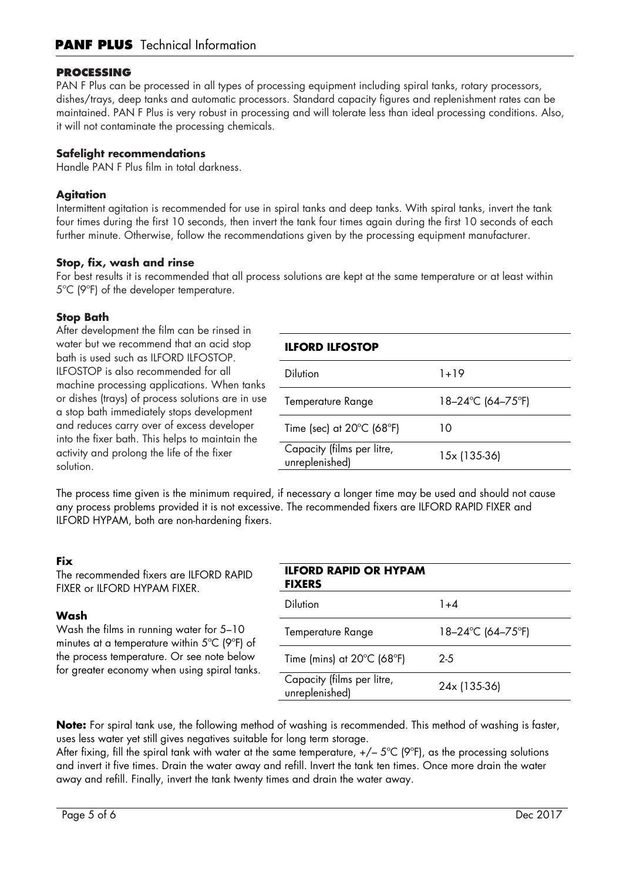# **PROCESSING**

PAN F Plus can be processed in all types of processing equipment including spiral tanks, rotary processors, dishes/trays, deep tanks and automatic processors. Standard capacity figures and replenishment rates can be maintained. PAN F Plus is very robust in processing and will tolerate less than ideal processing conditions. Also, it will not contaminate the processing chemicals.

# **Safelight recommendations**

Handle PAN F Plus film in total darkness.

# **Agitation**

Intermittent agitation is recommended for use in spiral tanks and deep tanks. With spiral tanks, invert the tank four times during the first 10 seconds, then invert the tank four times again during the first 10 seconds of each further minute. Otherwise, follow the recommendations given by the processing equipment manufacturer.

# **Stop, fix, wash and rinse**

For best results it is recommended that all process solutions are kept at the same temperature or at least within 5ºC (9ºF) of the developer temperature.

# **Stop Bath**

After development the film can be rinsed in water but we recommend that an acid stop bath is used such as ILFORD ILFOSTOP. ILFOSTOP is also recommended for all machine processing applications. When tanks or dishes (trays) of process solutions are in use a stop bath immediately stops development and reduces carry over of excess developer into the fixer bath. This helps to maintain the activity and prolong the life of the fixer solution.

# **ILFORD ILFOSTOP**

| <b>Dilution</b>                                | $1 + 19$          |
|------------------------------------------------|-------------------|
| Temperature Range                              | 18–24°C (64–75°F) |
| Time (sec) at $20^{\circ}$ C (68 $^{\circ}$ F) | 10                |
| Capacity (films per litre,<br>unreplenished)   | 15x (135-36)      |

The process time given is the minimum required, if necessary a longer time may be used and should not cause any process problems provided it is not excessive. The recommended fixers are ILFORD RAPID FIXER and ILFORD HYPAM, both are non-hardening fixers.

# **Fix**

The recommended fixers are ILFORD RAPID FIXER or ILFORD HYPAM FIXER.

# **Wash**

Wash the films in running water for 5–10 minutes at a temperature within 5ºC (9ºF) of the process temperature. Or see note below for greater economy when using spiral tanks.

| <b>ILFORD RAPID OR HYPAM</b><br><b>FIXERS</b>   |                        |
|-------------------------------------------------|------------------------|
| Dilution                                        | $1 + 4$                |
| <b>Temperature Range</b>                        | $18 - 24$ °C (64–75°F) |
| Time (mins) at $20^{\circ}$ C (68 $^{\circ}$ F) | $2 - 5$                |
| Capacity (films per litre,<br>unreplenished)    | 24x (135-36)           |

**Note:** For spiral tank use, the following method of washing is recommended. This method of washing is faster, uses less water yet still gives negatives suitable for long term storage.

After fixing, fill the spiral tank with water at the same temperature,  $+/-$  5°C (9°F), as the processing solutions and invert it five times. Drain the water away and refill. Invert the tank ten times. Once more drain the water away and refill. Finally, invert the tank twenty times and drain the water away.